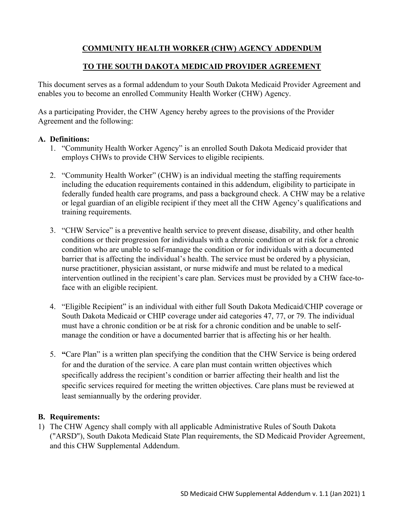# **COMMUNITY HEALTH WORKER (CHW) AGENCY ADDENDUM**

### **TO THE SOUTH DAKOTA MEDICAID PROVIDER AGREEMENT**

This document serves as a formal addendum to your South Dakota Medicaid Provider Agreement and enables you to become an enrolled Community Health Worker (CHW) Agency.

As a participating Provider, the CHW Agency hereby agrees to the provisions of the Provider Agreement and the following:

#### **A. Definitions:**

- 1. "Community Health Worker Agency" is an enrolled South Dakota Medicaid provider that employs CHWs to provide CHW Services to eligible recipients.
- 2. "Community Health Worker" (CHW) is an individual meeting the staffing requirements including the education requirements contained in this addendum, eligibility to participate in federally funded health care programs, and pass a background check. A CHW may be a relative or legal guardian of an eligible recipient if they meet all the CHW Agency's qualifications and training requirements.
- 3. "CHW Service" is a preventive health service to prevent disease, disability, and other health conditions or their progression for individuals with a chronic condition or at risk for a chronic condition who are unable to self-manage the condition or for individuals with a documented barrier that is affecting the individual's health. The service must be ordered by a physician, nurse practitioner, physician assistant, or nurse midwife and must be related to a medical intervention outlined in the recipient's care plan. Services must be provided by a CHW face-toface with an eligible recipient.
- 4. "Eligible Recipient" is an individual with either full South Dakota Medicaid/CHIP coverage or South Dakota Medicaid or CHIP coverage under aid categories 47, 77, or 79. The individual must have a chronic condition or be at risk for a chronic condition and be unable to selfmanage the condition or have a documented barrier that is affecting his or her health.
- 5. **"**Care Plan" is a written plan specifying the condition that the CHW Service is being ordered for and the duration of the service. A care plan must contain written objectives which specifically address the recipient's condition or barrier affecting their health and list the specific services required for meeting the written objectives. Care plans must be reviewed at least semiannually by the ordering provider.

## **B. Requirements:**

1) The CHW Agency shall comply with all applicable Administrative Rules of South Dakota ("ARSD"), South Dakota Medicaid State Plan requirements, the SD Medicaid Provider Agreement, and this CHW Supplemental Addendum.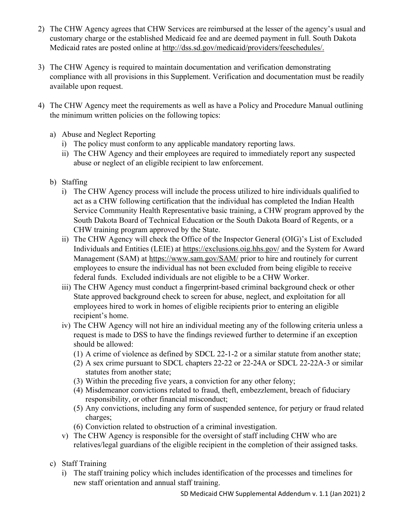- 2) The CHW Agency agrees that CHW Services are reimbursed at the lesser of the agency's usual and customary charge or the established Medicaid fee and are deemed payment in full. South Dakota Medicaid rates are posted online at [http://dss.sd.gov/medicaid/providers/feeschedules/.](http://dss.sd.gov/medicaid/providers/feeschedules/)
- 3) The CHW Agency is required to maintain documentation and verification demonstrating compliance with all provisions in this Supplement. Verification and documentation must be readily available upon request.
- 4) The CHW Agency meet the requirements as well as have a Policy and Procedure Manual outlining the minimum written policies on the following topics:
	- a) Abuse and Neglect Reporting
		- i) The policy must conform to any applicable mandatory reporting laws.
		- ii) The CHW Agency and their employees are required to immediately report any suspected abuse or neglect of an eligible recipient to law enforcement.
	- b) Staffing
		- i) The CHW Agency process will include the process utilized to hire individuals qualified to act as a CHW following certification that the individual has completed the Indian Health Service Community Health Representative basic training, a CHW program approved by the South Dakota Board of Technical Education or the South Dakota Board of Regents, or a CHW training program approved by the State.
		- ii) The CHW Agency will check the Office of the Inspector General (OIG)'s List of Excluded Individuals and Entities (LEIE) at<https://exclusions.oig.hhs.gov/> and the System for Award Management (SAM) at<https://www.sam.gov/SAM/> prior to hire and routinely for current employees to ensure the individual has not been excluded from being eligible to receive federal funds. Excluded individuals are not eligible to be a CHW Worker.
		- iii) The CHW Agency must conduct a fingerprint-based criminal background check or other State approved background check to screen for abuse, neglect, and exploitation for all employees hired to work in homes of eligible recipients prior to entering an eligible recipient's home.
		- iv) The CHW Agency will not hire an individual meeting any of the following criteria unless a request is made to DSS to have the findings reviewed further to determine if an exception should be allowed:
			- (1) A crime of violence as defined by SDCL 22-1-2 or a similar statute from another state;
			- (2) A sex crime pursuant to SDCL chapters 22-22 or 22-24A or SDCL 22-22A-3 or similar statutes from another state;
			- (3) Within the preceding five years, a conviction for any other felony;
			- (4) Misdemeanor convictions related to fraud, theft, embezzlement, breach of fiduciary responsibility, or other financial misconduct;
			- (5) Any convictions, including any form of suspended sentence, for perjury or fraud related charges;
			- (6) Conviction related to obstruction of a criminal investigation.
		- v) The CHW Agency is responsible for the oversight of staff including CHW who are relatives/legal guardians of the eligible recipient in the completion of their assigned tasks.
	- c) Staff Training
		- i) The staff training policy which includes identification of the processes and timelines for new staff orientation and annual staff training.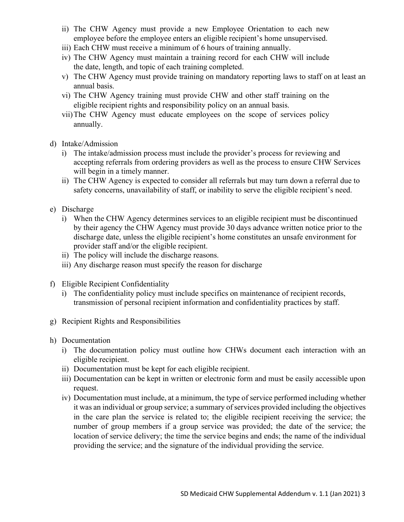- ii) The CHW Agency must provide a new Employee Orientation to each new employee before the employee enters an eligible recipient's home unsupervised.
- iii) Each CHW must receive a minimum of 6 hours of training annually.
- iv) The CHW Agency must maintain a training record for each CHW will include the date, length, and topic of each training completed.
- v) The CHW Agency must provide training on mandatory reporting laws to staff on at least an annual basis.
- vi) The CHW Agency training must provide CHW and other staff training on the eligible recipient rights and responsibility policy on an annual basis.
- vii)The CHW Agency must educate employees on the scope of services policy annually.
- d) Intake/Admission
	- i) The intake/admission process must include the provider's process for reviewing and accepting referrals from ordering providers as well as the process to ensure CHW Services will begin in a timely manner.
	- ii) The CHW Agency is expected to consider all referrals but may turn down a referral due to safety concerns, unavailability of staff, or inability to serve the eligible recipient's need.
- e) Discharge
	- i) When the CHW Agency determines services to an eligible recipient must be discontinued by their agency the CHW Agency must provide 30 days advance written notice prior to the discharge date, unless the eligible recipient's home constitutes an unsafe environment for provider staff and/or the eligible recipient.
	- ii) The policy will include the discharge reasons.
	- iii) Any discharge reason must specify the reason for discharge
- f) Eligible Recipient Confidentiality
	- i) The confidentiality policy must include specifics on maintenance of recipient records, transmission of personal recipient information and confidentiality practices by staff.
- g) Recipient Rights and Responsibilities
- h) Documentation
	- i) The documentation policy must outline how CHWs document each interaction with an eligible recipient.
	- ii) Documentation must be kept for each eligible recipient.
	- iii) Documentation can be kept in written or electronic form and must be easily accessible upon request.
	- iv) Documentation must include, at a minimum, the type of service performed including whether it was an individual or group service; a summary of services provided including the objectives in the care plan the service is related to; the eligible recipient receiving the service; the number of group members if a group service was provided; the date of the service; the location of service delivery; the time the service begins and ends; the name of the individual providing the service; and the signature of the individual providing the service.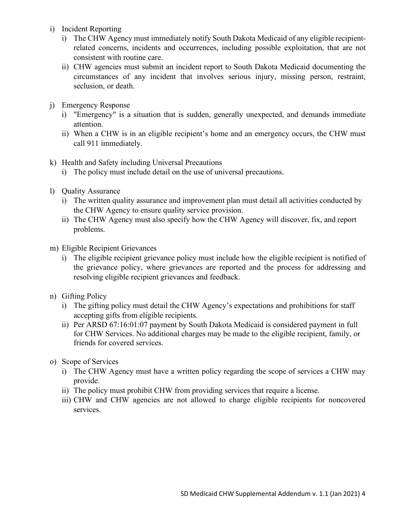- i) Incident Reporting
	- i) The CHW Agency must immediately notify South Dakota Medicaid of any eligible recipientrelated concerns, incidents and occurrences, including possible exploitation, that are not consistent with routine care.
	- ii) CHW agencies must submit an incident report to South Dakota Medicaid documenting the circumstances of any incident that involves serious injury, missing person, restraint, seclusion, or death.
- j) Emergency Response
	- i) "Emergency" is a situation that is sudden, generally unexpected, and demands immediate attention.
	- ii) When a CHW is in an eligible recipient's home and an emergency occurs, the CHW must call 911 immediately.
- k) Health and Safety including Universal Precautions
	- i) The policy must include detail on the use of universal precautions.
- l) Quality Assurance
	- i) The written quality assurance and improvement plan must detail all activities conducted by the CHW Agency to ensure quality service provision.
	- ii) The CHW Agency must also specify how the CHW Agency will discover, fix, and report problems.
- m) Eligible Recipient Grievances
	- i) The eligible recipient grievance policy must include how the eligible recipient is notified of the grievance policy, where grievances are reported and the process for addressing and resolving eligible recipient grievances and feedback.
- n) Gifting Policy
	- i) The gifting policy must detail the CHW Agency's expectations and prohibitions for staff accepting gifts from eligible recipients.
	- ii) Per ARSD 67:16:01:07 payment by South Dakota Medicaid is considered payment in full for CHW Services. No additional charges may be made to the eligible recipient, family, or friends for covered services.
- o) Scope of Services
	- i) The CHW Agency must have a written policy regarding the scope of services a CHW may provide.
	- ii) The policy must prohibit CHW from providing services that require a license.
	- iii) CHW and CHW agencies are not allowed to charge eligible recipients for noncovered services.